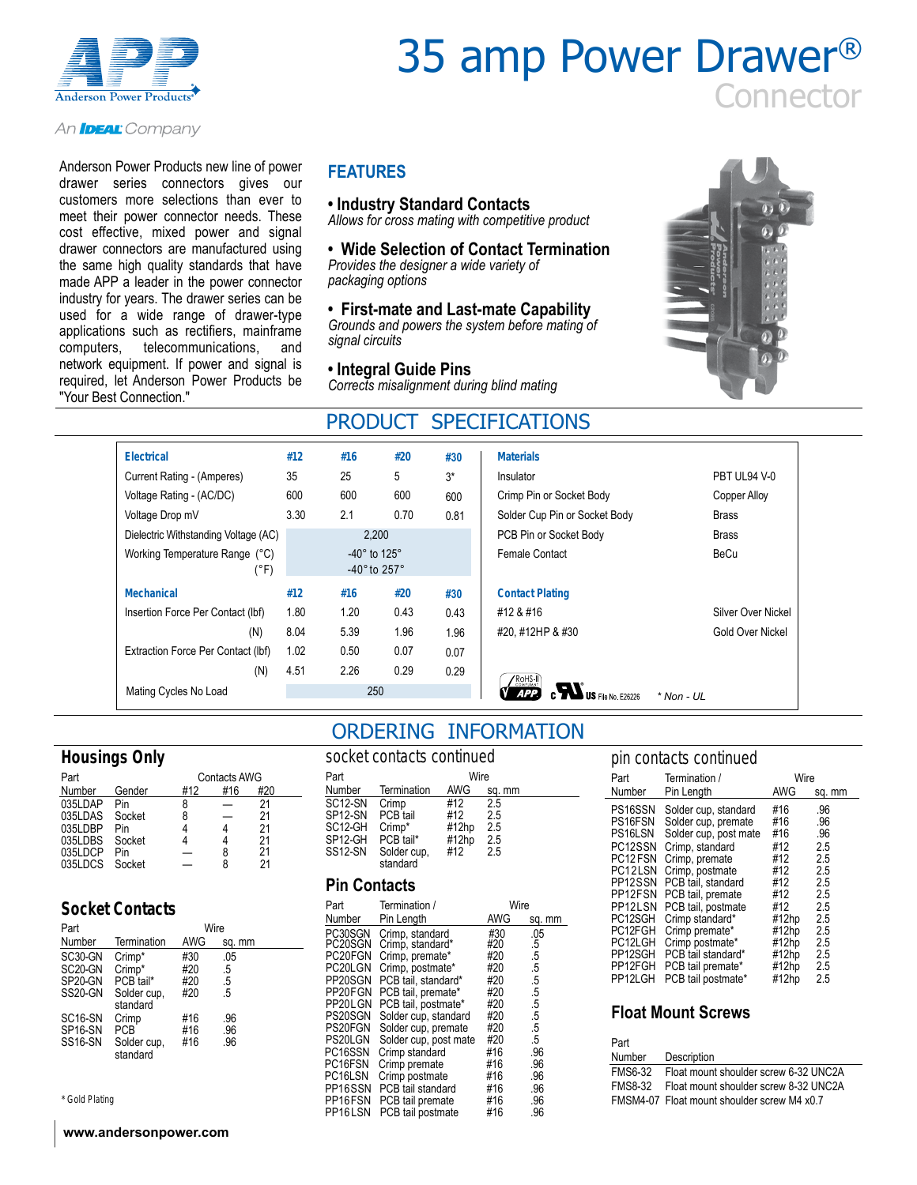

# 35 amp Power Drawer® **Connector**

#### An **IDEAL** Company

Anderson Power Products new line of power drawer series connectors gives our customers more selections than ever to meet their power connector needs. These cost effective, mixed power and signal drawer connectors are manufactured using the same high quality standards that have made APP a leader in the power connector industry for years. The drawer series can be used for a wide range of drawer-type applications such as rectifiers, mainframe computers, telecommunications, and network equipment. If power and signal is required, let Anderson Power Products be "Your Best Connection."

#### **FEATURES**

#### **• Industry Standard Contacts**

*Allows for cross mating with competitive product*

#### **• Wide Selection of Contact Termination** *Provides the designer a wide variety of packaging options*

#### **• First-mate and Last-mate Capability**

*Grounds and powers the system before mating of signal circuits*

#### **• Integral Guide Pins**

*Corrects misalignment during blind mating*



### PRODUCT SPECIFICATIONS

| <b>Electrical</b>                      | #12  | #16                                                                  | #20  | #30  | <b>Materials</b>                      |                    |
|----------------------------------------|------|----------------------------------------------------------------------|------|------|---------------------------------------|--------------------|
| Current Rating - (Amperes)             | 35   | 25                                                                   | 5    | $3*$ | Insulator                             | PBT UL94 V-0       |
| Voltage Rating - (AC/DC)               | 600  | 600                                                                  | 600  | 600  | Crimp Pin or Socket Body              | Copper Alloy       |
| Voltage Drop mV                        | 3.30 | 2.1                                                                  | 0.70 | 0.81 | Solder Cup Pin or Socket Body         | <b>Brass</b>       |
| Dielectric Withstanding Voltage (AC)   |      | 2,200                                                                |      |      | PCB Pin or Socket Body                | <b>Brass</b>       |
| Working Temperature Range (°C)<br>(°F) |      | -40 $^{\circ}$ to 125 $^{\circ}$<br>-40 $^{\circ}$ to 257 $^{\circ}$ |      |      | Female Contact                        | <b>BeCu</b>        |
| Mechanical                             | #12  | #16                                                                  | #20  | #30  | <b>Contact Plating</b>                |                    |
| Insertion Force Per Contact (Ibf)      | 1.80 | 1.20                                                                 | 0.43 | 0.43 | #12 & #16                             | Silver Over Nickel |
| (N)                                    | 8.04 | 5.39                                                                 | 1.96 | 1.96 | #20, #12HP & #30                      | Gold Over Nickel   |
| Extraction Force Per Contact (Ibf)     | 1.02 | 0.50                                                                 | 0.07 | 0.07 |                                       |                    |
| (N)                                    | 4.51 | 2.26                                                                 | 0.29 | 0.29 | ′RoHS-II`I                            |                    |
| Mating Cycles No Load                  |      | 250                                                                  |      |      | <b>COMPLIAN</b><br>US File No. E26226 | $*$ Non - UL       |
|                                        |      |                                                                      |      |      |                                       |                    |

### **Housings Only**

| Part    | <b>Contacts AWG</b> |     |     |     |  |  |  |  |
|---------|---------------------|-----|-----|-----|--|--|--|--|
| Number  | Gender              | #12 | #16 | #20 |  |  |  |  |
| 035LDAP | Pin                 | 8   |     | 21  |  |  |  |  |
| 035LDAS | Socket              | 8   |     | 21  |  |  |  |  |
| 035LDBP | Pin                 |     |     | 21  |  |  |  |  |
| 035LDBS | Socket              |     |     | 21  |  |  |  |  |
| 035LDCP | Pin                 |     | 8   | 21  |  |  |  |  |
| 035LDCS | Socket              |     | я   | 21  |  |  |  |  |

#### **Socket Contacts**

| Part                 | Wire                    |            |        |  |  |  |  |  |
|----------------------|-------------------------|------------|--------|--|--|--|--|--|
| Number               | Termination             | <b>AWG</b> | sq. mm |  |  |  |  |  |
| SC30-GN              | Crimp*                  | #30        | .05    |  |  |  |  |  |
| SC <sub>20</sub> -GN | Crimp*                  | #20        | .5     |  |  |  |  |  |
| SP20-GN              | PCB tail*               | #20        | .5     |  |  |  |  |  |
| SS20-GN              | Solder cup,<br>standard | #20        | .5     |  |  |  |  |  |
| SC <sub>16</sub> -SN | Crimp                   | #16        | .96    |  |  |  |  |  |
| SP <sub>16</sub> -SN | PCB                     | #16        | .96    |  |  |  |  |  |
| SS <sub>16</sub> -SN | Solder cup,<br>standard | #16        | .96    |  |  |  |  |  |

*\* Gold Plating*

#### **www.andersonpower.com**

### ORDERING INFORMATION

| socket contacts continued |             |            |        |  |  |  |  |
|---------------------------|-------------|------------|--------|--|--|--|--|
| Part                      |             | Wire       |        |  |  |  |  |
| Number                    | Termination | <b>AWG</b> | sq. mm |  |  |  |  |
| SC12-SN                   | Crimp       | #12        | 2.5    |  |  |  |  |
| SP12-SN                   | PCB tail    | #12        | 2.5    |  |  |  |  |
| SC12-GH                   | Crimp*      | #12hp      | 2.5    |  |  |  |  |
| SP12-GH                   | PCB tail*   | #12hp      | 2.5    |  |  |  |  |
| SS12-SN                   | Solder cup, | #12        | 2.5    |  |  |  |  |
|                           | standard    |            |        |  |  |  |  |

#### **Pin Contacts**

| Termination /<br>Part |                       |            | Wire   |
|-----------------------|-----------------------|------------|--------|
| Number                | Pin Length            | <b>AWG</b> | sq. mm |
| PC30SGN               | Crimp, standard       | #30        | .05    |
| PC20SGN               | Crimp, standard*      | #20        | .5     |
| PC20FGN               | Crimp, premate*       | #20        | .5     |
| PC20LGN               | Crimp, postmate*      | #20        | .5     |
| PP20SGN               | PCB tail, standard*   | #20        | .5     |
| PP20FGN               | PCB tail, premate*    | #20        | .5     |
| PP20LGN               | PCB tail, postmate*   | #20        | .5     |
| PS20SGN               | Solder cup, standard  | #20        | .5     |
| PS20FGN               | Solder cup, premate   | #20        | .5     |
| PS20LGN               | Solder cup, post mate | #20        | .5     |
| PC16SSN               | Crimp standard        | #16        | .96    |
| PC16FSN               | Crimp premate         | #16        | .96    |
| PC16LSN               | Crimp postmate        | #16        | .96    |
| PP16SSN               | PCB tail standard     | #16        | .96    |
| PP16FSN               | PCB tail premate      | #16        | .96    |
| PP16LSN               | PCB tail postmate     | #16        | .96    |

| pin contacts continued |                       |       |        |  |  |  |  |  |  |
|------------------------|-----------------------|-------|--------|--|--|--|--|--|--|
| Part                   | Termination /         | Wire  |        |  |  |  |  |  |  |
| Number                 | Pin Length            | AWG   | sq. mm |  |  |  |  |  |  |
| PS16SSN                | Solder cup, standard  | #16   | .96    |  |  |  |  |  |  |
| PS16FSN                | Solder cup, premate   | #16   | .96    |  |  |  |  |  |  |
| PS16LSN                | Solder cup, post mate | #16   | .96    |  |  |  |  |  |  |
| PC12SSN                | Crimp, standard       | #12   | 2.5    |  |  |  |  |  |  |
| PC <sub>12</sub> FSN   | Crimp, premate        | #12   | 2.5    |  |  |  |  |  |  |
| PC12LSN                | Crimp, postmate       | #12   | 2.5    |  |  |  |  |  |  |
| PP12SSN                | PCB tail, standard    | #12   | 2.5    |  |  |  |  |  |  |
| PP12FSN                | PCB tail, premate     | #12   | 2.5    |  |  |  |  |  |  |
| PP12LSN                | PCB tail, postmate    | #12   | 2.5    |  |  |  |  |  |  |
| PC12SGH                | Crimp standard*       | #12hp | 2.5    |  |  |  |  |  |  |
| PC12FGH                | Crimp premate*        | #12hp | 2.5    |  |  |  |  |  |  |
| PC12LGH                | Crimp postmate*       | #12hp | 2.5    |  |  |  |  |  |  |
| PP12SGH                | PCB tail standard*    | #12hp | 2.5    |  |  |  |  |  |  |
| PP12FGH                | PCB tail premate*     | #12hp | 2.5    |  |  |  |  |  |  |
| PP12LGH                | PCB tail postmate*    | #12hp | 2.5    |  |  |  |  |  |  |

#### **Float Mount Screws**

| Part           |                                             |
|----------------|---------------------------------------------|
| Number         | Description                                 |
| <b>FMS6-32</b> | Float mount shoulder screw 6-32 UNC2A       |
| FMS8-32        | Float mount shoulder screw 8-32 UNC2A       |
|                | FMSM4-07 Float mount shoulder screw M4 x0.7 |